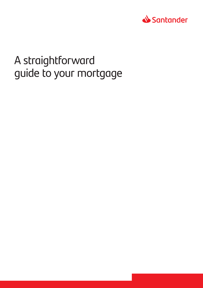

# A straightforward guide to your mortgage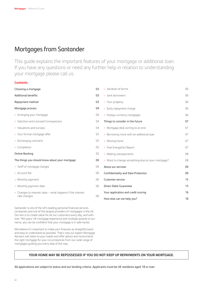# Mortgages from Santander

This guide explains the important features of your mortgage or additional loan. If you have any questions or need any further help in relation to understanding your mortgage please call us.

# **Contents**

| Choosing a mortgage                                          | 03 | · Variation of terms                              | 06 |
|--------------------------------------------------------------|----|---------------------------------------------------|----|
| <b>Additional benefits</b>                                   | 03 | · Joint borrowers                                 | 06 |
| Repayment method                                             | 03 | • Your property                                   | 06 |
| Mortgage process                                             | 04 | • Early repayment charge                          | 06 |
| • Arranging your mortgage                                    | 04 | • Foreign currency mortgages                      | 06 |
| · Solicitors and Licensed Conveyancers                       | 04 | Things to consider in the future                  | 07 |
| • Valuations and surveys                                     | 04 | • Mortgage deal coming to an end                  | 07 |
| · Your formal mortgage offer                                 | 05 | • Borrowing more with an additional loan          | 07 |
| • Exchanging contracts                                       | 05 | · Moving home                                     | 07 |
| · Completion                                                 | 05 | • Free EnergyFact Report                          | 07 |
| <b>Online Banking</b>                                        | 05 | · Making overpayments                             | 08 |
| The things you should know about your mortgage               | 06 | • Want to change something else on your mortgage? | 08 |
| • Tariff of mortgage charges                                 | 06 | About our services                                | 09 |
| · Account fee                                                | 06 | Confidentiality and Data Protection               | 09 |
| • Monthly payment                                            | 06 | Customer service                                  | 15 |
| · Monthly payment date                                       | 06 | <b>Direct Debit Guarantee</b>                     | 15 |
| • Changes to interest rates $-$ what happens if the interest | 06 | Your application and credit scoring               | 16 |
| rate changes                                                 |    | How else can we help you?                         | 18 |

Santander is one of the UK's leading personal financial services companies and one of the largest providers of mortgages in the UK. Our aim is to create value for all our customers every day, and with over 160 years' UK mortgage experience and multiple awards to our name, you can be confident that your mortgage is in safe hands.

We believe it's important to make your finances as straightforward and easy to understand as possible. That's why our expert Mortgage Advisers will listen to your needs and offer advice and recommend the right mortgage for your circumstances from our wide range of mortgages guiding you every step of the way.

# **YOUR HOME MAY BE REPOSSESSED IF YOU DO NOT KEEP UP REPAYMENTS ON YOUR MORTGAGE.**

All applications are subject to status and our lending criteria. Applicants must be UK residents aged 18 or over.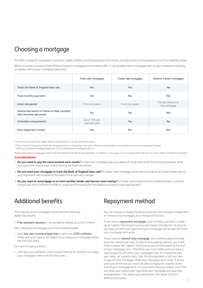# Choosing a mortgage

We offer a range of mortgages to suit your needs whether you're buying your first home, moving home or remortgaging to us from another lender.

Below is a brief summary of the different types of mortgages we currently offer. If you already have a mortgage with us your conditions may vary, so please refer to your mortgage paperwork.

|                                                                                     | Fixed rate mortgages           | Tracker rate mortgages | Lifetime Tracker mortgages          |
|-------------------------------------------------------------------------------------|--------------------------------|------------------------|-------------------------------------|
| Tracks the Bank of England base rate                                                | <b>No</b>                      | Yes                    | Yes                                 |
| Fixed monthly payments                                                              | Yes                            | <b>No</b>              | <b>No</b>                           |
| Initial rate period                                                                 | From two years                 | From two years         | For the lifetime of<br>the mortgage |
| Interest rate reverts to Follow-on Rate (variable)<br>after the initial rate period | Yes                            | Yes                    | No.                                 |
| Unlimited overpayments <sup>1</sup>                                                 | Up to 10% per<br>calendar year | Yes                    | Yes                                 |
| Early repayment charge <sup>2</sup>                                                 | Yes                            | <b>No</b>              | No.                                 |

1 A minimum amount may apply. Please visit santander.co.uk for more information.

2 If you choose to repay your fixed rate mortgage in full or overpay by more than 10% each calendar year, you'll need to pay an early repayment charge. Check your original mortgage paperwork if you already have a mortgage with us.

Please note: where a mortgage comes with the additional benefit of paid legal fees or cashback, if you repay your mortgage within the first two years, these will need to be repaid.

# **Considerations**

- 1. **Do you want to pay the same amount each month?** A fixed rate mortgage gives you peace of mind that comes from knowing exactly what your payments will be each month during the fixed rate period.
- 2. **Do you want your mortgage to track the Bank of England base rate?** A tracker rate mortgage tracks above the Bank of England base rate so your payments will increase or decrease in line with any changes.
- 3. **Do you want to remortgage to us from another lender and borrow more money?** Is further borrowing from your existing lender, a second charge loan with a different lender or unsecured borrowing for the additional amount more appropriate?

# Additional benefits

The majority of our mortgages come with the following additional benefit:

 $\circ$  Free standard valuation – on a property valued up to £2.5 million.

Plus, when you remortgage to us from another lender:

o we'll pay your standard legal fees or give you £250 cashback. These will only need to be repaid if you repay your mortgage within the first two years.

Or if you're buying a home:

• we'll give you cashback, which would need to be repaid if you repay your mortgage within the first two years.

# Repayment method

You can choose to repay the amount you borrow through a repayment or interest only mortgage, or a mixture of the two.

If you have a repayment mortgage, your monthly payment is made up of 'capital' (the amount you've borrowed) and interest. As long as you keep up with your payments your mortgage will be paid off when your mortgage term ends.

If you have an interest only mortgage, your monthly payment only pays the interest you owe. As you're only paying interest, you'll still have to repay the 'capital' (the amount you've borrowed) at the end of your mortgage term. Therefore you must make sure you have a way to pay this off when your mortgage ends. It's important that you check, on a yearly basis, that this arrangement is still on track to pay off your mortgage when your mortgage term ends. If at any point you think that you won't be able to repay the 'capital' at the end of your mortgage term, it's important that you contact us to find out what your options are regarding your mortgage and payment arrangements. The sooner you take action, the easier it'll be to address any issues.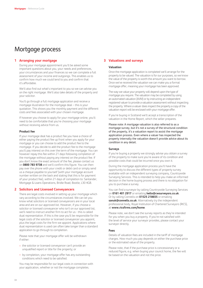# Mortgage process

# **1 Arranging your mortgage**

During your mortgage appointment you'll be asked some important questions about you, your needs and preferences, your circumstances and your finances so we can complete a full assessment of your income and outgoings. This enables us to confirm how much we could lend to you and confirm that it's affordable.

We'll also find out what's important to you so we can advise you on the right mortgage. We'll also take details of the property and your solicitor.

You'll go through a full mortgage application and receive a mortgage illustration for the mortgage deal – this is your quotation. This shows you the monthly payment and the different costs and fees associated with your chosen mortgage.

If however you choose to apply for your mortgage online, you'll need to be comfortable that you're choosing your mortgage without receiving advice from us.

### **Product fee**

If your mortgage deal has a product fee you have a choice of either paying the product fee up front when you apply for your mortgage or you can choose to add the product fee to the mortgage. If you decide to add the product fee to the mortgage you'll pay interest on this over the term of the mortgage. You can however repay this fee within 21 days following completion of the mortgage without paying any interest on the product fee. If you don't know the exact amount of the fee, please contact us on **0800 783 9738** and we'll confirm this figure. You can then pay over the phone with your credit or debit card or simply send us a cheque payable to yourself (with your mortgage account number written on the back and stating that this is for payment of your product fee), within 21 days of completion to: Santander, Mortgage & Loans Operations, Bridle Road, Bootle, L30 4GB.

# **2 Solicitors and Licensed Conveyancers**

There are legal costs involved in setting up your mortgage which vary according to the circumstances involved. We can let you know what solicitors or licensed conveyancers are in your local area and are on our approved list. However, if you choose a solicitor or licensed conveyancer who isn't on our approved list, we'll need to instruct another firm to act for us - this is called dual representation. If this is the case you'll be responsible for the legal costs of the solicitor or licensed conveyancer you appoint, plus the legal costs for the firm we appoint. Applications where dual representation is used can often take longer than a standard application to go through to completion.

Please note that your mortgage offer will be withdrawn if either:

- o the solicitor or licensed conveyancer can't provide an unqualified report or title for the property; or
- ¡ by completion, your mortgage offer has any outstanding conditions which need to be satisfied.

You may be responsible for our legal costs in connection with your application, whether or not the mortgage completes.

### **3 Valuations and surveys**

### **Valuation**

Once the mortgage application is completed we'll arrange for the property to be valued. The valuation is for our purposes, so we know the value of the property is worth the amount you want to borrow. Once we've received the valuation we can make you a formal mortgage offer, meaning your mortgage has been approved.

The way we value your property will depend upon the type of mortgage you require. The valuation may be completed by using an automated valuation (AVM) or by instructing an independent registered valuer to provide a valuation assessment without inspecting the property. Where a valuer does inspect the property a copy of the valuation report will be enclosed with your mortgage offer.

If you're buying in Scotland we'll accept a transcription of the valuation in the Home Report, which the seller prepares.

Please note: A mortgage valuation is also referred to as a mortgage survey, but it's not a survey of the structural condition of the property, it's a valuation report to assist the mortgage application process. Even where a valuer has inspected the property internally the valuation doesn't provide advice about its condition in any detail.

### **Surveys**

If you're buying a property we strongly advise you obtain a survey of the property to make sure you're aware of its condition and possible costs that could be incurred once you own it.

During the mortgage application process you'll have the opportunity to discuss the different types of property survey available with an independent surveying company, Countrywide Surveying Services. This is intended to help you make an informed decision in the home buying process and there is no obligation for you to purchase a survey.

You can find a surveyor by calling Countrywide Surveying Services on **0161 401 2917** or emailing **hello@cwsurveyors.co.uk**. Or by calling Connells on **01525 218655** or emailing **sanuk@connells.co.uk**. Alternatively try the independent professional body, Royal Institution of Chartered Surveyors (RICS), at **www.ricsfirms.com/home**.

Please note, we don't see the survey reports as they're intended for you when you buy a property. If you're not satisfied with the level of service your surveyor provides, please contact your surveyor directly.

### **Fees**

Details of valuation fees are included in the tariff of mortgage charges. How much you pay depends on either the purchase price or the estimated value of the property.

Please note, that if the purchase price is concessionary or a reduced figure, e.g. when buying your council home, the fee will be based on the valuation and not the price.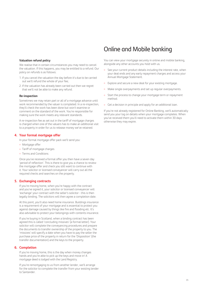# Online and Mobile banking

#### **Valuation refund policy**

We realise that in certain circumstances you may need to cancel the valuation. If this happens, you may be entitled to a refund. Our policy on refunds is as follows:

- 1. If you cancel the valuation the day before it's due to be carried out we'll refund the whole of your fee;
- 2. If the valuation has already been carried out then we regret that we'll not be able to make any refund.

#### **Re-inspection**

Sometimes we may retain part or all of a mortgage advance until work recommended by the valuer is completed. In a re-inspection, they'll check the work has been done but won't examine or comment on the standard of the work. You're responsible for making sure the work meets any relevant standards.

A re-inspection fee as set out in the tariff of mortgage charges is charged when one of the valuers has to make an additional visit to a property in order for us to release money we've retained.

#### **4. Your formal mortgage offer**

In your formal mortgage offer pack we'll send you:

- · Mortgage offer
- ¡ Tariff of mortgage charges
- ¡ Terms and Conditions

Once you've received a formal offer you then have a seven day 'period of reflection'. This is there to give you a chance to review the mortgage offer and check you still want to continue with it. Your solicitor or licensed conveyancer will carry out all the required checks and searches on the property.

#### **5. Exchanging contracts**

If you're moving home, when you're happy with the contract and you've signed it, your solicitor or licensed conveyancer will 'exchange' your contract with the seller's solicitor - this is then legally binding. The solicitors will then agree a completion date.

At this point, you'll also need home insurance. Buildings insurance is a requirement of your mortgage and is essential to protect you against damage caused by things like fire and flooding etc. It's also advisable to protect your belongings with contents insurance.

If you're buying in Scotland, when a binding contract has been agreed this is called 'concluding missives' (a formal letter). Your solicitor will complete the conveyancing procedures and prepare the documents to transfer ownership of the property to you. The 'missives' will specify a date when you have to pay the seller the purchase price of the property in return for the 'Disposition' (the transfer documentation) and the keys to the property.

### **6. Completion**

If you're moving home, this is the day when money changes hands and you're able to pick up the keys and move in! A mortgage deed is lodged with the Land Registry.

If you're remortgaging to us from another lender, we'll arrange for the solicitor to complete the transfer from your existing lender to Santander.

You can view your mortgage securely in online and mobile banking, alongside any other accounts you hold with us.

- See your current product details including the interest rate, when your deal ends and any early repayment charges and access your Annual Mortgage Statement.
- Explore and secure a new deal for your existing mortgage.
- Make single overpayments and set up regular overpayments.
- Start the process to change your mortgage term or repayment method.
- Get a decision in principle and apply for an additional loan.

If you're not already registered for Online Banking, we'll automatically send you your log on details when your mortgage completes. When you've received them you'll need to activate them within 30 days otherwise they may expire.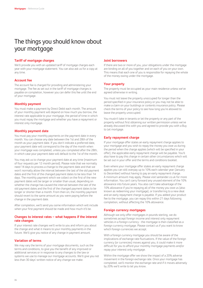# The things you should know about your mortgage

# **Tariff of mortgage charges**

We'll provide you with an updated tariff of mortgage charges each year with your mortgage statement. You can also ask us for a copy at any time.

# **Account fee**

The account fee is charged for providing and administering your mortgage. The fee as set out in the tariff of mortgage charges is payable on completion, however you can defer this fee until the end of your mortgage.

# **Monthly payment**

You must make a payment by Direct Debit each month. The amount of your monthly payment will depend on how much you borrow, the interest rate applicable to your mortgage, the period of time in which you must repay the mortgage and whether you have a repayment or interest only mortgage.

# **Monthly payment date**

You must pay your monthly payments on the payment date in every month. You can choose any date between the 1st and 28th of the month as your payment date. If you don't indicate a preferred date, your payment date will correspond to the day of the month when your mortgage was completed, unless you completed after the 28th, in which case your payment date will default to the 1st of the month.

You may ask us to change your payment date at any time (maximum of four requests per 12 month period). Please note that we normally need 14 days to process a change to the payment date and that we won't normally allow the interval between the last of the old payment dates and the first of the changed payment dates to be less than 14 days. The monthly payment which we collect on the first of the new payment dates will be larger or smaller than usual, depending on whether the change has caused the interval between the last of the old payment dates and the first of the changed payment dates to be longer or shorter than a month. From then on, the monthly payment should revert to the same amount as you were paying before the change in the payment date.

After completion, we'll send you some information which will include when your first payment should be made and how much it'll be.

### **Changes to interest rates – what happens if the interest rate changes**

If your interest rate changes we'll write to you and inform you about the change and what it means to your monthly payments in the future. We'll give you notice of any change in payment amount.

# **Variation of terms**

We may vary the terms of your mortgage documents, such as the terms and conditions, to give you the benefit of any improved or additional services or in response to any changes to the law or systems we use to manage our mortgage accounts. We'll give you not less than 30 days' written notice of any change we make.

# **Joint borrowers**

If there are two or more of you, your obligations under the mortgage are binding on all of you together and on each of you on your own. This means that each one of you is responsible for repaying the whole of the money owing under the mortgage.

# **Your property**

The property must be occupied as your main residence unless we've agreed otherwise in writing.

You must not leave the property unoccupied for longer than the period specified in your insurance policy or you may not be able to make a claim on your buildings or contents insurance policy. Please check the terms of your policy to see how long you're allowed to leave the property unoccupied.

You mustn't take in tenants or let the property or any part of the property without first obtaining our written permission unless we've already discussed this with you and agreed to provide you with a Buy to Let mortgage.

# **Early repayment charge**

If your mortgage offer states an early repayment charge applies to your mortgage and you wish to repay the money you owe us during the period when the charge applies (which will be specified in your offer), the applicable early repayment charge will be payable. You'll also have to pay this charge in certain other circumstances which will be set out in your offer and the terms and conditions booklet.

Even where your mortgage offer states an early repayment charge applies you can still overpay up to 10% each calendar year (January to December) without having to pay an early repayment charge. A minimum amount may apply. Please visit santander.co.uk for more information. You can't carry forward any unused element of the 10% allowance into future years. You also can't take advantage of the 10% allowance if you're repaying all of the money you owe us (also known as redeeming your mortgage), or transferring to a new deal and an early repayment charge is payable. If you added your product fee to the mortgage, you can repay this within 21 days following completion, without affecting the 10% allowance.

# **Foreign currency mortgages**

Although we only offer mortgages in pounds sterling, we do sometimes accept foreign income and interest only repayment vehicles in a foreign currency - the mortgage is then classified as a foreign currency mortgage. Please contact us if you want to know which foreign currencies we accept.

With a foreign currency mortgage you should be aware of the implications of exchange rate fluctuations. If the value of the foreign currency (or currencies) moves against you, it could make it more difficult for you to afford your monthly mortgage payments and/or repay your interest only mortgage.

Within the mortgage offer we show the impact of a 20% adverse movement in the foreign exchange rate. Once your mortgage has completed, we'll monitor the exchange rate and if it moves adversely by 20% we'll write to let you know.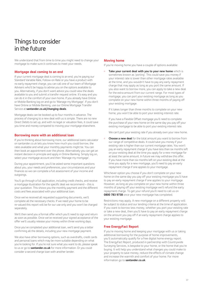# Things to consider in the future

We understand that from time to time you might need to change your mortgage to make sure it continues to meet your needs.

### **Mortgage deal coming to an end**

If your current mortgage deal is coming to an end, you're paying our Standard Variable Rate, Follow-on Rate or you have a product with no early repayment charge, you can call one of our team of Mortgage Advisers who'll be happy to advise you on the options available to you. Alternatively, if you don't want advice you could view the deals available to you and submit a transfer request online. It's easy and you can do it in the comfort of your own home. If you already have Online or Mobile Banking log on and go to 'Manage my Mortgage'. If you don't have Online or Mobile Banking, use our Online Mortgage Transfer Service at **santander.co.uk/changing-deals**.

Mortgage deals can be booked up to four months in advance. The process of changing to a new deal with us is simple. There are no new Direct Debits to set up, and with no legal or valuation fees, it could save you time and money compared to moving your mortgage elsewhere.

#### **Borrowing more with an additional loan**

If you're thinking about borrowing more, our additional loans calculator on santander.co.uk lets you know how much you could borrow, the rates available and what your monthly payments might be. You can then book an appointment over the phone. Alternatively you can get an instant decision in principle and apply in Online Banking. Simply log on, select your mortgage account and then 'Manage my mortgage'.

During your appointment, you'll be asked some important questions about you, your needs and preferences, your circumstances and your finances so we can complete a full assessment of your income and outgoings.

You'll go through a full application, including credit checks, and receive a mortgage illustration for the specific deal we recommend – this is your quotation. This shows you the monthly payment and the different costs and fees associated with your additional loan.

Once we've received all requested supporting documents, we'll complete all the necessary checks. If we need your home to be re-valued this report will be for our use only and you won't be charged separately.

We'll then send you a formal offer which you'll need to sign and return as soon as possible. Once we've received your signed acceptance of the offer we'll usually release your money within three working days.

Once you've completed your additional loan, we'll send you a letter confirming all the details, including your new mortgage payment.

We also have other borrowing options, such as overdrafts, credit cards and personal loans which may be more suitable depending on what you're looking for. If you're not sure what you want to do, please speak to us or go to **santander.co.uk** for more information. Or you could consider a second charge loan with another lender.

### **Moving home**

If you're moving home you have a couple of options available:

Take your current deal with you to your new home which is sometimes known as 'porting'. This could save you money if your interest rate is lower than other mortgage rates available at the time, and you wouldn't have to pay any early repayment charge that may apply as long as you port the same amount. If you also want to borrow more, you can apply to take a new deal for the extra amount from our current range. For most types of mortgage, you can port your existing mortgage as long as you complete on your new home within three months of paying off your existing mortgage.

If it takes longer than three months to complete on your new home, you won't be able to port your existing interest rate.

If you have a Flexible Offset mortgage you'll need to complete the purchase of your new home on the same day you pay off your existing mortgage to be able to port your existing interest rate.

We can't port your existing rate if you already own your new home.

**choose a new deal** for the total amount you want to borrow from our range of competitive deals. It could save you money if your existing rate is higher than our current mortgage rates. You won't pay an early repayment charge if you have less than six months left on your existing deal at the time you apply for a new mortgage for at least the same amount. In future we may withdraw this offer. If you have more than six months left on your existing deal at the time you apply for a new mortgage, you'll need to pay an early repayment charge if one applies to your mortgage.

Whichever option you choose if you don't complete on your new home on the same day you pay off your existing mortgage you'll have to pay an early repayment charge if one applies to your mortgage. However, as long as you complete on your new home within three months of paying off your existing mortgage we'll refund the early repayment charge. To get your refund you'll need to call us on **0800 783 9738** once your new mortgage has completed.

Restrictions may apply. A new mortgage on a different property will be subject to status and our lending criteria at the time of application. If you want to borrow less money, whether you port your existing rate or take a new deal, then you'll have to pay an early repayment charge on the amount you pay off if an early repayment charge applies to your existing mortgage.

### **Free EnergyFact Report**

If you're moving home and keeping your mortgage with us or taking additional borrowing for the purpose of home improvements, you'll automatically qualify for a free digital home energy report. The EnergyFact Report, produced in partnership with Countrywide Surveying Services, is bespoke to your home, or the home that you're buying. It will help you understand what changes you could make to your property to save money, reduce the effects of climate change and increase the warmth and comfort of your home. For more information go to **santander.co.uk**.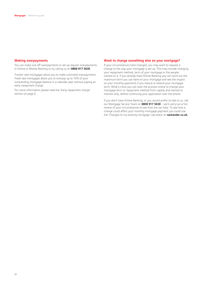#### **Making overpayments**

You can make one off overpayments or set up regular overpayments in Online or Mobile Banking or by calling us on **0800 917 5630**.

Tracker rate mortgages allow you to make unlimited overpayments. Fixed rate mortgages allow you to overpay up to 10% of your outstanding mortgage balance in a calendar year without paying an early repayment charge.

For more information please read the 'Early repayment charge' section on page 6.

#### **Want to change something else on your mortgage?**

If your circumstances have changed, you may want to request a change to the way your mortgage is set up. This may include changing your repayment method, term of your mortgage or the people named on it. If you already have Online Banking you can work out the maximum term you can have on your mortgage and see the impact on your monthly payments if you reduce or extend your mortgage term. What's more you can start the process online to change your mortgage term or repayment method from capital and interest to interest only, before continuing your application over the phone.

If you don't have Online Banking, or you would prefer to talk to us, call our Mortgage Service Team on **0800 917 5630** – we'll carry out a full review of your circumstances to see how we can help. To see how a change could affect your monthly mortgage payment you could use the 'Changes to my existing mortgage' calculator on **santander.co.uk.**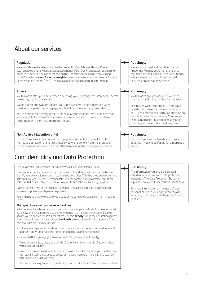# About our services

# **Regulation**

We are authorised and regulated by the Prudential Regulation Authority (PRA) and also regulated by the Financial Conduct Authority (FCA). Our Financial Services Register number is 106054. You can check this on the Financial Services Register by visiting the FCA's website **www.fca.org.uk/register**. We are a member of the Financial Services Compensation Scheme (FSCS) – ask for a leaflet in branch for more information.

# **Advice**

We'll always offer you advice when discussing your mortgage requirements. There's no fee payable for this service.

We only offer our own mortgages. You'll receive a mortgage illustration when considering a particular mortgage, which will tell you about any fees relating to it.

You can ask us for a mortgage illustration at any time for any mortgage deal that you're eligible for, even if you've already received advice from us and we have recommended a particular mortgage for you.

# **Non Advice (Execution only)**

You won't receive advice on your mortgage requirements if you make a full mortgage application online. This means you won't benefit from the protection advice provides and we won't assess the suitability of the mortgage you choose.

# Confidentiality and Data Protection

The Data Protection Statement sets out how we'll use your personal data.

Your personal data is data which by itself or with other data available to us can be used to identify you. We are Santander UK plc, the data controller. This data protection statement sets out how we'll use your personal data. You can contact our Data Protection Officer (DPO) at 201 Grafton Gate East, Milton Keynes, MK9 1AN if you have any questions.

Where there are two or more people named on this application, this data protection statement applies to each person separately.

You understand that we will give you a copy of the completed application form if you ask us to.

### **The types of personal data we collect and use**

Whether or not you become a customer, we'll use your personal data for the reasons set out below and if you become a customer we'll use it to manage the account, policy or service you've applied for. We'll collect most of this **directly** during the application journey. The sources of personal data collected **indirectly** are mentioned in this statement. The personal data we use may include:

- ¡ Full name and personal details including contact information (e.g. home address and address history, email address, home, and mobile telephone numbers);
- ¡ Date of birth and/or age (e.g. to make sure that you're eligible to apply);
- ¡ Financial details (e.g. salary and details of other income, and details of accounts held with other providers):
- 09 o Records of products and services you've obtained or applied for, how you use them and the relevant technology used to access or manage them (e.g. mobile phone location data, IP address, MAC address);
- ¡ Biometric data (e.g. fingerprints and voice recordings for TouchID and voice recognition);

# **Put simply**

We are authorised and regulated by the Prudential Regulation Authority and also regulated by the Financial Conduct Authority. We are also a member of the Financial Services Compensation Scheme.

# **Put simply**

We'll always give you advice on our own mortgages and there's no fee for this advice.

This means we'll recommend a mortgage based on your needs and circumstances. You'll get a mortgage illustration showing any fees relating to that mortgage. You can ask us for a mortgage illustration on any other mortgage you're eligible for at any time.

# **Put simply**

You won't receive the benefits and protection of advice if you choose/apply for a mortgage online.

# **Put simply**

The information you give us is treated confidentially, in line with data protection legislation. The Data Protection Statement explains how we will use your personal data.

For more information on the uses of your personal data and your rights you can ask for a copy of the 'Using My Personal Data Booklet'.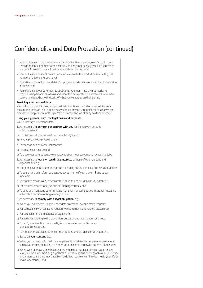- ¡ Information from credit reference or fraud prevention agencies, electoral roll, court records of debt judgements and bankruptcies and other publicly available sources as well as information on any financial associates you may have;
- ¡ Family, lifestyle or social circumstances if relevant to the product or service (e.g. the number of dependants you have);
- ¡ Education and employment details/employment status for credit and fraud prevention purposes; and
- ¡ Personal data about other named applicants. You must have their authority to provide their personal data to us and share this data protection statement with them beforehand together with details of what you've agreed on their behalf.

#### **Providing your personal data**

We'll tell you if providing some personal data is optional, including if we ask for your consent to process it. In all other cases you must provide your personal data so we can process your application (unless you're a customer and we already hold your details).

#### **Using your personal data: the legal basis and purposes**

We'll process your personal data:

- 1. As necessary **to perform our contract with you** for the relevant account, policy or service:
- a) To take steps at your request prior to entering into it;
- b) To decide whether to enter into it;
- c) To manage and perform that contract;
- d) To update our records; and
- e) To trace your whereabouts to contact you about your account and recovering debt.
- 2. As necessary for **our own legitimate interests** or those of other persons and organisations, e.g.:
- a) For good governance, accounting, and managing and auditing our business operations;
- b) To search at credit reference agencies at your home if you're over 18 and apply for credit;
- c) To monitor emails, calls, other communications, and activities on your account;
- d) For market research, analysis and developing statistics; and
- e) To send you marketing communications and for marketing to you in-branch, including automated decision making relating to this.
- 3. As necessary **to comply with a legal obligation**, e.g.:
- a) When you exercise your rights under data protection law and make requests;
- b) For compliance with legal and regulatory requirements and related disclosures;
- c) For establishment and defence of legal rights;
- d) For activities relating to the prevention, detection and investigation of crime;
- e) To verify your identity, make credit, fraud prevention and anti-money laundering checks; and
- f) To monitor emails, calls, other communications, and activities on your account.
- 4. Based on **your consent**, e.g.:
- a) When you request us to disclose your personal data to other people or organisations such as a company handling a claim on your behalf, or otherwise agree to disclosures;
- b) When we process any special categories of personal data about you at your request (e.g. your racial or ethnic origin, political opinions, religious or philosophical beliefs, trade union membership, genetic data, biometric data, data concerning your health, sex life or sexual orientation); and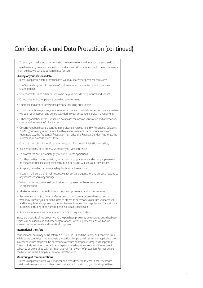c) To send you marketing communications where we've asked for your consent to do so. You're free at any time to change your mind and withdraw your consent. The consequence might be that we can't do certain things for you. **Sharing of your personal data** Subject to applicable data protection law we may share your personal data with: ¡ The Santander group of companies\* and associated companies in which we have shareholdings; ¡ Sub-contractors and other persons who help us provide our products and services; ¡ Companies and other persons providing services to us; ¡ Our legal and other professional advisors, including our auditors; ¡ Fraud prevention agencies, credit reference agencies, and debt collection agencies when we open your account and periodically during your account or service management; ¡ Other organisations who use shared databases for income verification and affordability checks and to manage/collect arrears; ¡ Government bodies and agencies in the UK and overseas (e.g. HM Revenue & Customs ('HMRC')) who may in turn share it with relevant overseas tax authorities and with regulators e.g. the Prudential Regulation Authority, the Financial Conduct Authority, the Information Commissioner's Office); ¡ Courts, to comply with legal requirements, and for the administration of justice; • In an emergency or to otherwise protect your vital interests; • To protect the security or integrity of our business operations; • To other parties connected with your account e.g. guarantors and other people named on the application including joint account holders who will see your transactions; ¡ Any party providing or arranging legal or financial assistance. o Insurers, re-insurers and their respective advisors and agents for any purpose relating to any insurance you may arrange. ¡ When we restructure or sell our business or its assets or have a merger or re-organisation; ¡ Market research organisations who help to improve our products or services; ¡ Payment systems (e.g. Visa or Mastercard) if we issue cards linked to your account, who may transfer your personal data to others as necessary to operate your account

- and for regulatory purposes, to process transactions, resolve disputes and for statistical purposes, including sending your personal data overseas; and
- o Anyone else where we have your consent or as required by law.

In addition, details of the property and the purchase price may be recorded on a database which will be used by us and other organisations, to value properties, as well as for administration, research and statistical purposes.

### **International transfers**

Your personal data may be transferred outside the UK and the European Economic Area. While some countries have adequate protections for personal data under applicable laws, in other countries steps will be necessary to ensure appropriate safeguards apply to it. These include imposing contractual obligations of adequacy or requiring the recipient to subscribe or be certified with an 'international framework' of protection. Further details can be found in the 'Using My Personal Data' booklet.

#### **Monitoring of communications**

Subject to applicable laws, we'll monitor and record your calls, emails, text messages, social media messages and other communications in relation to your dealings with us.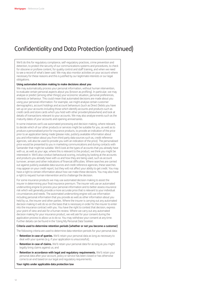We'll do this for regulatory compliance, self-regulatory practices, crime prevention and detection, to protect the security of our communications systems and procedures, to check for obscene or profane content, for quality control and staff training, and when we need to see a record of what's been said. We may also monitor activities on your account where necessary for these reasons and this is justified by our legitimate interests or our legal obligations.

#### **Using automated decision making to make decisions about you**

We may automatically process your personal information, without human intervention, to evaluate certain personal aspects about you (known as profiling). In particular, we may analyse or predict (among other things) your economic situation, personal preferences, interests or behaviour. This could mean that automated decisions are made about you using your personal information. For example, we might analyse certain customer demographics, account holdings and account behaviours (such as Direct Debits you have set up on your accounts including those which identify accounts and products such as credit cards and store cards which you hold with other providers/elsewhere) and look at details of transactions relevant to your accounts. We may also analyse events such as the maturity dates of your accounts and opening anniversaries.

In some instances we'll use automated processing and decision making, where relevant, to decide which of our other products or services might be suitable for you, as well as to produce a personalised price for insurance products, to provide an indication of the price prior to an application being made (please note, publicly available information about you and information about you from third party data sources such as, credit reference agencies, will also be used to provide you with an indication of the price). The personalised price would be presented to you in marketing communications and during contacts with Santander that might be suitable. We'll look at the types of accounts that you already have with us, as well as your age, where this is relevant to the product, we think you might be interested in. We'll also conduct behavioural scoring, including by looking at the accounts and products you already have with us and how they are being used, such as account turnover, arrears and other indications of financial difficulties. Where searches are carried out against publicly available data sources and credit reference agencies, these searches may appear on your credit report, but they will not affect your ability to get credit. You may have a right to certain information about how we make these decisions. You may also have a right to request human intervention and to challenge the decision.

For some insurance products we may use automated decision making to assist the insurer in determining your final insurance premium. The insurer will use an automated underwriting engine to process your personal information and to better assess insurance risk which will generally provide a more accurate price that is relevant to your individual circumstances and needs. The automated underwriting engine will use information including personal information that you provide as well as other information about you held by us, the insurer and other parties. Where the insurer is carrying out any automated decision making it will do so on the basis that is necessary in order for the insurer to enter into the insurance contract with you. You have the right to contest that decision, express your point of view and ask for a human review. Where we carry out any automated decision making for your insurance product, we will ask for your consent during the application process to allow us to do so. You may withdraw your consent at any time. Further details can be found in the 'Using My Personal Data' booklet.

#### **Criteria used to determine retention periods (whether or not you become a customer)**

The following criteria are used to determine data retention periods for your personal data:

- ¡ **Retention in case of queries.** We'll retain your personal data as long as necessary to deal with your queries (e.g. if your application is unsuccessful);
- **Retention in case of claims.** We'll retain your personal data for as long as you might legally bring claims against us; and
- ¡ **Retention in accordance with legal and regulatory requirements.** We'll retain your personal data after your account, policy or service has been closed or has otherwise come to an end based on our legal and regulatory requirements.

**Your rights under applicable data protection law**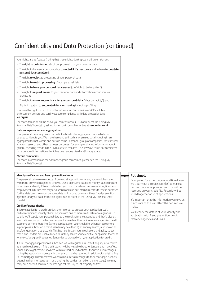Your rights are as follows (noting that these rights don't apply in all circumstances):

- ¡ The **right to be informed** about our processing of your personal data;
- ¡ The right to have your personal data **corrected if it's inaccurate** and to have **incomplete personal data completed**;
- ¡ The right **to object** to processing of your personal data;
- ¡ The right **to restrict processing** of your personal data;
- ¡ The right **to have your personal data erased** (the "right to be forgotten");
- ¡ The right to **request access** to your personal data and information about how we process it;
- ¡ The right to **move, copy or transfer your personal data** ("data portability"); and
- ¡ Rights in relation to **automated decision making** including profiling.

You have the right to complain to the Information Commissioner's Office. It has enforcement powers and can investigate compliance with data protection law: **ico.org.uk**.

For more details on all the above you can contact our DPO or request the 'Using My Personal Data' booklet by asking for a copy in branch or online at **santander.co.uk**.

#### **Data anonymisation and aggregation**

Your personal data may be converted into statistical or aggregated data, which can't be used to identify you. We may share and sell such anonymised data including in an aggregated format, within and outside of the Santander group of companies, for statistical analysis, research and other business purposes. For example, sharing information about general spending trends in the UK to assist in research. The law says this is not considered to be personal information after it has been anonymised and/or aggregated.

#### **\*Group companies**

For more information on the Santander group companies, please see the 'Using My Personal Data' booklet.

### **Identity verification and fraud prevention checks**

The personal data we've collected from you at application or at any stage will be shared with fraud prevention agencies who will use it to prevent fraud and money-laundering and to verify your identity. If fraud is detected, you could be refused certain services, finance or employment in future. We may also search and use our internal records for these purposes. Further details on how your personal data will be used by us and these fraud prevention agencies, and your data protection rights, can be found in the 'Using My Personal Data' booklet.

### **Credit reference checks**

If you've applied for a credit product then in order to process your application, we'll perform credit and identity checks on you with one or more credit reference agencies. To do this we'll supply your personal data to the credit reference agencies and they'll give us information about you. When we carry out a search at the credit reference agencies they'll place one or more footprints (where applicable) on your credit file. When an agreement in principle is submitted a credit search may be either: a) an enquiry search, also known as a soft or quotation credit search. This has no effect on your credit score and ability to get credit, and lenders are unable to see this if they search your credit file; or b) a hard footprint where you've agreed/requested Santander to proceed with your application for credit.

If a full mortgage application is submitted we will register a full credit enquiry, also known as a hard credit search. This credit search will be viewable by other lenders and may affect your ability to get credit elsewhere within a short period of time. If your situation changes during the application process a further search may be required. In addition, for existing Buy to Let mortgage customers who want to make certain changes to their mortgage (such as extending their mortgage term or changing the parties named on the mortgage), we may carry out a second hard credit search against the Buy to Let property address.

# **Put simply**

By applying for a mortgage or additional loan, we'll carry out a credit search(es) to make a decision on your application and this will be recorded on your credit file. Records will be linked together on joint applications.

It's important that the information you give us is accurate as this will affect the decision we make.

We'll check the details of your identity and application with fraud prevention, credit reference agencies and HMRC.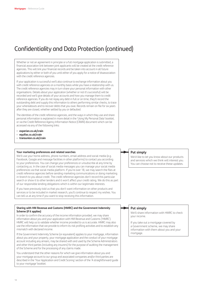Whether or not an agreement in principle or a full mortgage application is submitted, a financial association link between joint applicants will be created at the credit reference agencies. This will link your financial records and be taken into account in all future applications by either or both of you until either of you apply for a notice of disassociation with the credit reference agencies.

If your application is successful we'll also continue to exchange information about you with credit reference agencies on a monthly basis while you have a relationship with us. The credit reference agencies may in turn share your personal information with other organisations. Details about your application (whether or not it's successful) will be recorded and we'll give details of your accounts and how you manage them to credit reference agencies. If you do not repay any debt in full or on time, they'll record the outstanding debt and supply this information to others performing similar checks, to trace your whereabouts and to recover debts that you owe. Records remain on file for six years after they are closed, whether settled by you or defaulted.

The identities of the credit reference agencies, and the ways in which they use and share personal information is explained in more detail in the 'Using My Personal Data' booklet, or via the Credit Reference Agency Information Notice (CRAIN) document which can be accessed via any of the following links:

- ¡ **experian.co.uk/crain**
- ¡ **equifax.co.uk/crain**
- ¡ **transunion.co.uk/crain**

#### **Your marketing preferences and related searches**

We'll use your home address, phone numbers, email address and social media (e.g. Facebook, Google and message facilities in other platforms) to contact you according to your preferences. You can change your preferences or unsubscribe at any time by contacting us. In the case of social media messages you can manage your social media preferences via that social media platform. If you're over 18, we may search the files at credit reference agencies before sending marketing communications or doing marketing in-branch to you about credit. The credit reference agencies don't record this particular search or show it to other lenders and it won't affect your credit rating. We do this as part of our responsible lending obligations which is within our legitimate interests.

If you have previously told us that you don't want information on other products and services or to be included in market research, you'll continue to respect my wishes. You can tell us at any time if you want to stop receiving this information.

### **Sharing with HM Revenue and Customs (HMRC) and the Government Indemnity Scheme (if it applies)**

In order to confirm the accuracy of the income information provided, we may share information about you and your application with HM Revenue and Customs ('HMRC'). HMRC will help us to validate whether income provided to us is accurate. HMRC may also use the information that we provide to inform its risk profiling activities and to establish any mismatch with declared income.

If the Government Indemnity Scheme (or equivalent) applies to your mortgage, information about you and your property, your mortgage application and the conduct of your mortgage account including any arrears, may be shared with and used by the Scheme Administrators and other third parties (including any insurers) for the purpose of auditing the management of the Scheme and for the processing of any claims made.

You understand that the other reasons for which we give information about you and your mortgage account to our group and associated companies and/or third parties are described in the 'Your Application and Credit Scoring' section of the 'A straightforward guide to your mortgage' booklet.

### **Put simply**

We'd like to let you know about our products and services which we think will interest you. You can choose not to receive these updates.

### **Put simply**

We'll share information with HMRC to check your income.

If you take out a mortgage covered by a Government scheme, we may share information with them about you and your mortgage.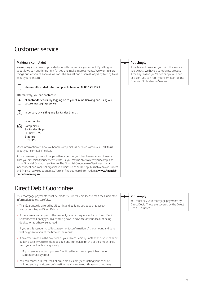# Customer service

# **Making a complaint** We're sorry if we haven't provided you with the service you expect. By telling us about it we can put things right for you and make improvements. We want to sort things out for you as soon as we can. The easiest and quickest way is by talking to us about your concern. Please call our dedicated complaints team on **0800 171 2171**. Alternatively, you can contact us: at **santander.co.uk**, by logging on to your Online Banking and using our secure messaging service. 圖 in person, by visiting any Santander branch. in writing to: (amplaints Santander UK plc PO Box 1125 Bradford BD1 9PG More information on how we handle complaints is detailed within our 'Talk to us about your complaint' leaflet. If for any reason you're not happy with our decision, or it has been over eight weeks since you first raised your concerns with us, you may be able to refer your complaint to the Financial Ombudsman Service. The Financial Ombudsman Service acts as an

independent and impartial organisation which helps settle disputes between consumers and financial services businesses. You can find out more information at **www.financialombudsman.org.uk**.

# Direct Debit Guarantee

Your mortgage payments must be made by Direct Debit. Please read the Guarantee information below carefully.

- This Guarantee is offered by all banks and building societies that accept instructions to pay Direct Debits.
- o If there are any changes to the amount, date or frequency of your Direct Debit, Santander will notify you five working days in advance of your account being debited or as otherwise agreed.
- ¡ If you ask Santander to collect a payment, confirmation of the amount and date will be given to you at the time of the request.
- If an error is made in the payment of your Direct Debit by Santander or your bank or building society you're entitled to a full and immediate refund of the amount paid from your bank or building society.
- If you receive a refund you aren't entitled to, you must pay it back when Santander asks you to.
- ¡ You can cancel a Direct Debit at any time by simply contacting your bank or building society. Written confirmation may be required. Please also notify us.

# **Put simply**

If we haven't provided you with the service you expect, we have a complaints process. If for any reason you're not happy with our decision, you can refer your complaint to the Financial Ombudsman Service.

# **Put simply**

You must pay your mortgage payments by Direct Debit. These are covered by the Direct Debit Guarantee.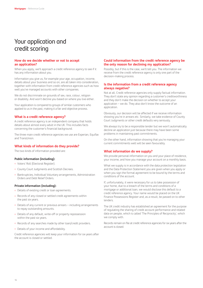# Your application and credit scoring

# **How do we decide whether or not to accept an application?**

When you apply, we'll approach a credit reference agency to see if it has any information about you.

Information you give us, for example your age, occupation, income, details about your business and so on, are all taken into consideration, together with information from credit reference agencies such as how well you've managed accounts with other companies.

We do not discriminate on grounds of sex, race, colour, religion or disability. And won't decline you based on where you live either.

Your application is compared to groups of similar customers who applied to us in the past, making it a fair and objective process.

# **What is a credit reference agency?**

A credit reference agency is an independent company that holds details about almost every adult in the UK. This includes facts concerning the customer's financial background.

The three main credit reference agencies we use are Experian, Equifax and TransUnion.

# **What kinds of information do they provide?**

The two kinds of information provided are:

# **Public information (including):**

- ¡ Voters' Roll (Electoral Register).
- ¡ County Court Judgments and Scottish Decrees.
- ¡ Bankruptcies, Individual Voluntary arrangements, Administration Orders and Debt Relief Orders.

### **Private information (including):**

- Details of existing credit or loan agreements.
- Records of any closed or settled credit agreements within the past six years.
- Details of any current or previous arrears including arrangements to repay outstanding amounts.
- o Details of any default, write-off or property repossession within the past six years.
- Records of any searches made by other loan/credit providers.
- Details of your income and affordability.

Credit reference agencies will keep your information for six years after the account is closed or settled.

# **Could information from the credit reference agency be the only reason for declining my application?**

Possibly, but if this is the case, we'll tell you. The information we receive from the credit reference agency is only one part of the decision-making process.

### **Is the information from a credit reference agency always negative?**

Not at all. Credit reference agencies only supply factual information. They don't state any opinion regarding a customer's creditworthiness and they don't make the decision on whether to accept your application – we do. They also don't know the outcome of an application.

Obviously, our decision will be affected if we receive information showing you're in arrears etc. Similarly, we take evidence of County Court Judgments or other credit defaults very seriously.

We always try to be a responsible lender but we won't automatically decline an application just because there may have been some problems in maintaining past commitments.

On the other hand, information showing that you're managing your current commitments well will be seen favourably.

# **What information do we supply?**

We provide personal information on you and your place of residence, your income, and how you manage your account on a monthly basis.

What we supply is in accordance with the data protection legislation and the Data Protection Statement you are given when you apply or when you sign the formal agreement to be bound by the terms and conditions of the account.

If, unfortunately, it were necessary for us to take possession of your home, due to a breach of the terms and conditions of a mortgage or additional loan, we would disclose this default to a credit reference agency. Your name would be placed on the UK Finance Possessions Register and, as a result, be passed on to other lenders.

The UK credit industry has established an agreement for the purpose of regulating the sharing of credit account performance and related data on people, which is called 'The Principles of Reciprocity', which we comply with.

Records remain on file at credit reference agencies for six years after the account is closed.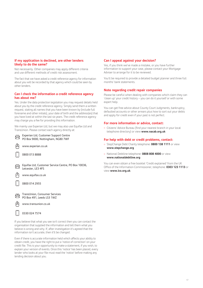# **If my application is declined, are other lenders likely to do the same?**

Not necessarily. Other companies may apply different criteria and use different methods of credit risk assessment.

The fact that we have asked a credit reference agency for information about you will be recorded by that agency which could be seen by other lenders.

# **Can I check the information a credit reference agency has about me?**

Yes. Under the data protection legislation you may request details held about you by the credit reference agency. Simply send them a written request, stating all names that you have been known by (include full forename and other initials), your date of birth and the address(es) that you have lived at within the last six years. The credit reference agency may charge you a fee for providing this information.

We mainly use Experian Ltd, but we may also use Equifax Ltd and TransUnion. Please contact each agency directly at:

Box 10036,

| Experian Ltd, Customer Support Centre<br>PO Box 9000, Nottingham, NG80 7WF |
|----------------------------------------------------------------------------|
| www.experian.co.uk                                                         |
| 0800 013 8888                                                              |
| Equifax Ltd, Customer Service Centre, PO<br>Leicester, LE3 4FS             |
| www.equifax.co.uk                                                          |
| 0800 014 2955                                                              |
| TransUnion, Consumer Services<br>PO Box 491, Leeds LS3 1WZ                 |
| www.transunion.co.uk                                                       |
| 0330 024 7574                                                              |
| If you believe that what you see isn't correct then                        |

you can contact the organisation that supplied the information and tell them what you believe is wrong and why. If, after investigation it's agreed that the information isn't accurate, then it'll be changed.

Even if there is accurate information held which affects your ability to obtain credit, you have the right to put a 'notice of correction' on your credit file. This is your opportunity to make a statement, if you wish, to explain your version of events. Once this 'notice' has been placed, every lender who looks at your file must read the 'notice' before making any lending decision about you.

# **Can I appeal against your decision?**

Yes, if you think we've made a mistake, or you have further information to support your case, please contact your Mortgage Adviser to arrange for it to be reviewed.

You'll be required to provide a detailed budget planner and three full months' bank statements.

# **Note regarding credit repair companies**

Please be careful when dealing with companies which claim they can 'clean up' your credit history – you can do it yourself or with some expert help.

You can get free advice about County Court Judgments, bankruptcy, defaulted accounts or other arrears plus how to sort out your debts and apply for credit even if your past is not perfect.

# **For more information or advice, contact:**

¡ Citizens' Advice Bureau (find your nearest branch in your local telephone directory) or view **www.nacab.org.uk**

# **For help with debt or credit problems, contact:**

- ¡ StepChange Debt Charity telephone: **0800 138 1111** or view **www.stepchange.org**
- ¡ National Debtline telephone: **0808 808 4000** or view **www.nationaldebtline.org**

You can even obtain a free booklet 'Credit explained' from the UK Office of the Information Commissioner, telephone: **0303 123 1113** or view **www.ico.org.uk**.